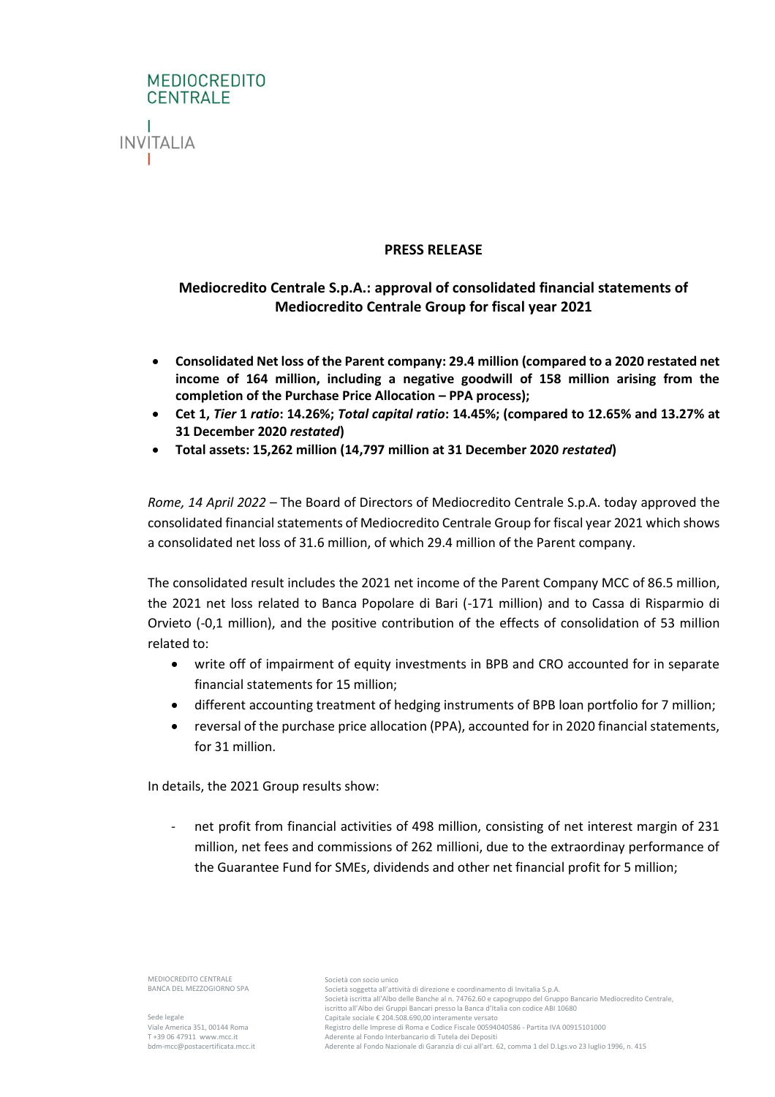

#### **PRESS RELEASE**

# **Mediocredito Centrale S.p.A.: approval of consolidated financial statements of Mediocredito Centrale Group for fiscal year 2021**

- **Consolidated Net loss of the Parent company: 29.4 million (compared to a 2020 restated net income of 164 million, including a negative goodwill of 158 million arising from the completion of the Purchase Price Allocation – PPA process);**
- **Cet 1,** *Tier* **1** *ratio***: 14.26%;** *Total capital ratio***: 14.45%; (compared to 12.65% and 13.27% at 31 December 2020** *restated***)**
- **Total assets: 15,262 million (14,797 million at 31 December 2020** *restated***)**

*Rome, 14 April 2022* – The Board of Directors of Mediocredito Centrale S.p.A. today approved the consolidated financial statements of Mediocredito Centrale Group for fiscal year 2021 which shows a consolidated net loss of 31.6 million, of which 29.4 million of the Parent company.

The consolidated result includes the 2021 net income of the Parent Company MCC of 86.5 million, the 2021 net loss related to Banca Popolare di Bari (-171 million) and to Cassa di Risparmio di Orvieto (-0,1 million), and the positive contribution of the effects of consolidation of 53 million related to:

- write off of impairment of equity investments in BPB and CRO accounted for in separate financial statements for 15 million;
- different accounting treatment of hedging instruments of BPB loan portfolio for 7 million;
- reversal of the purchase price allocation (PPA), accounted for in 2020 financial statements, for 31 million.

In details, the 2021 Group results show:

net profit from financial activities of 498 million, consisting of net interest margin of 231 million, net fees and commissions of 262 millioni, due to the extraordinay performance of the Guarantee Fund for SMEs, dividends and other net financial profit for 5 million;

MEDIOCREDITO CENTRALE BANCA DEL MEZZOGIORNO SPA

Sede legale Viale America 351, 00144 Roma T +39 06 47911 www.mcc.it bdm-mcc@postacertificata.mcc.it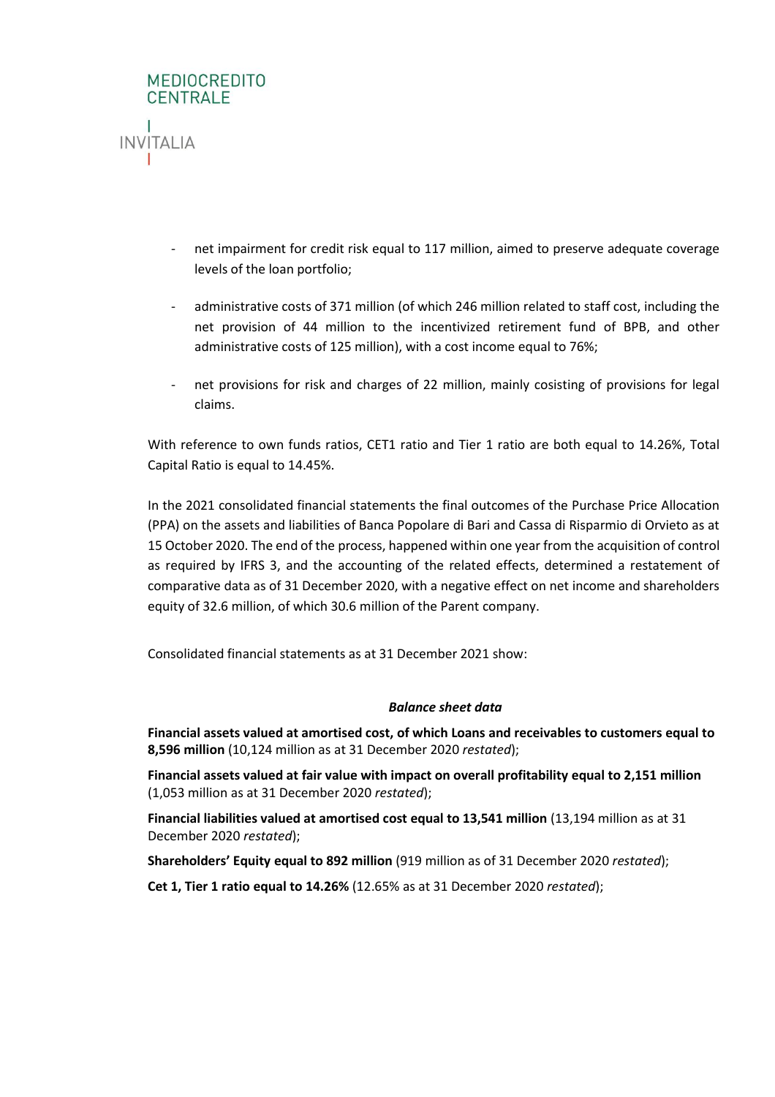

- net impairment for credit risk equal to 117 million, aimed to preserve adequate coverage levels of the loan portfolio;
- administrative costs of 371 million (of which 246 million related to staff cost, including the net provision of 44 million to the incentivized retirement fund of BPB, and other administrative costs of 125 million), with a cost income equal to 76%;
- net provisions for risk and charges of 22 million, mainly cosisting of provisions for legal claims.

With reference to own funds ratios, CET1 ratio and Tier 1 ratio are both equal to 14.26%, Total Capital Ratio is equal to 14.45%.

In the 2021 consolidated financial statements the final outcomes of the Purchase Price Allocation (PPA) on the assets and liabilities of Banca Popolare di Bari and Cassa di Risparmio di Orvieto as at 15 October 2020. The end of the process, happened within one year from the acquisition of control as required by IFRS 3, and the accounting of the related effects, determined a restatement of comparative data as of 31 December 2020, with a negative effect on net income and shareholders equity of 32.6 million, of which 30.6 million of the Parent company.

Consolidated financial statements as at 31 December 2021 show:

# *Balance sheet data*

**Financial assets valued at amortised cost, of which Loans and receivables to customers equal to 8,596 million** (10,124 million as at 31 December 2020 *restated*);

**Financial assets valued at fair value with impact on overall profitability equal to 2,151 million** (1,053 million as at 31 December 2020 *restated*);

**Financial liabilities valued at amortised cost equal to 13,541 million** (13,194 million as at 31 December 2020 *restated*);

**Shareholders' Equity equal to 892 million** (919 million as of 31 December 2020 *restated*);

**Cet 1, Tier 1 ratio equal to 14.26%** (12.65% as at 31 December 2020 *restated*);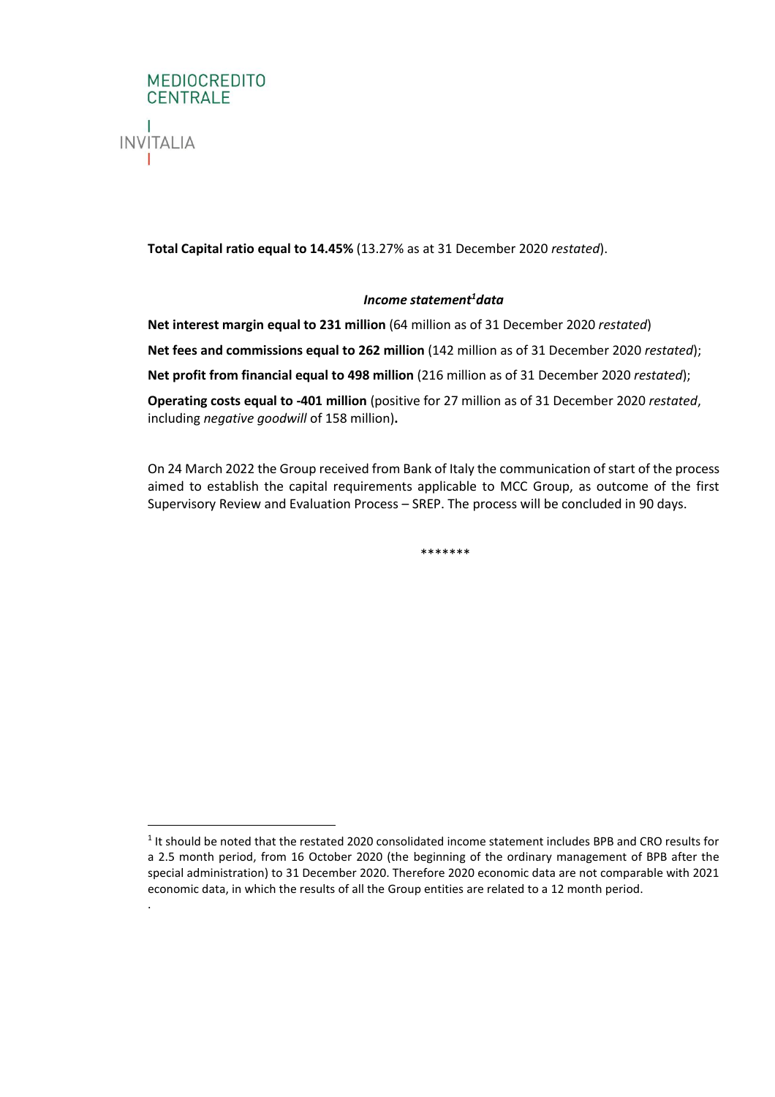

.

**Total Capital ratio equal to 14.45%** (13.27% as at 31 December 2020 *restated*).

# *Income statement<sup>1</sup>data*

**Net interest margin equal to 231 million** (64 million as of 31 December 2020 *restated*) **Net fees and commissions equal to 262 million** (142 million as of 31 December 2020 *restated*);

**Net profit from financial equal to 498 million** (216 million as of 31 December 2020 *restated*);

**Operating costs equal to -401 million** (positive for 27 million as of 31 December 2020 *restated*, including *negative goodwill* of 158 million)**.**

On 24 March 2022 the Group received from Bank of Italy the communication of start of the process aimed to establish the capital requirements applicable to MCC Group, as outcome of the first Supervisory Review and Evaluation Process – SREP. The process will be concluded in 90 days.

\*\*\*\*\*\*\*

<sup>&</sup>lt;sup>1</sup> It should be noted that the restated 2020 consolidated income statement includes BPB and CRO results for a 2.5 month period, from 16 October 2020 (the beginning of the ordinary management of BPB after the special administration) to 31 December 2020. Therefore 2020 economic data are not comparable with 2021 economic data, in which the results of all the Group entities are related to a 12 month period.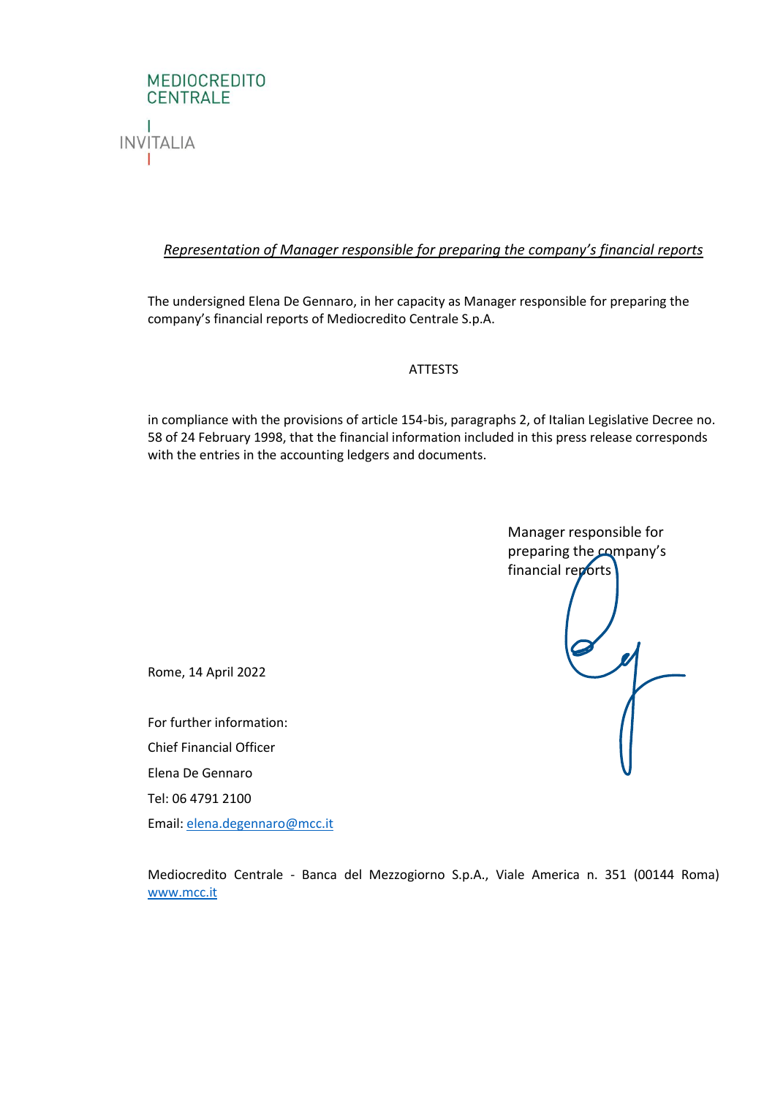

# *Representation of Manager responsible for preparing the company's financial reports*

The undersigned Elena De Gennaro, in her capacity as Manager responsible for preparing the company's financial reports of Mediocredito Centrale S.p.A.

# ATTESTS

in compliance with the provisions of article 154-bis, paragraphs 2, of Italian Legislative Decree no. 58 of 24 February 1998, that the financial information included in this press release corresponds with the entries in the accounting ledgers and documents.



Rome, 14 April 2022

For further information: Chief Financial Officer Elena De Gennaro Tel: 06 4791 2100 Email: [elena.degennaro@mcc.it](mailto:elena.degennaro@mcc.it)

Mediocredito Centrale - Banca del Mezzogiorno S.p.A., Viale America n. 351 (00144 Roma) [www.mcc.it](http://www.mcc.it/)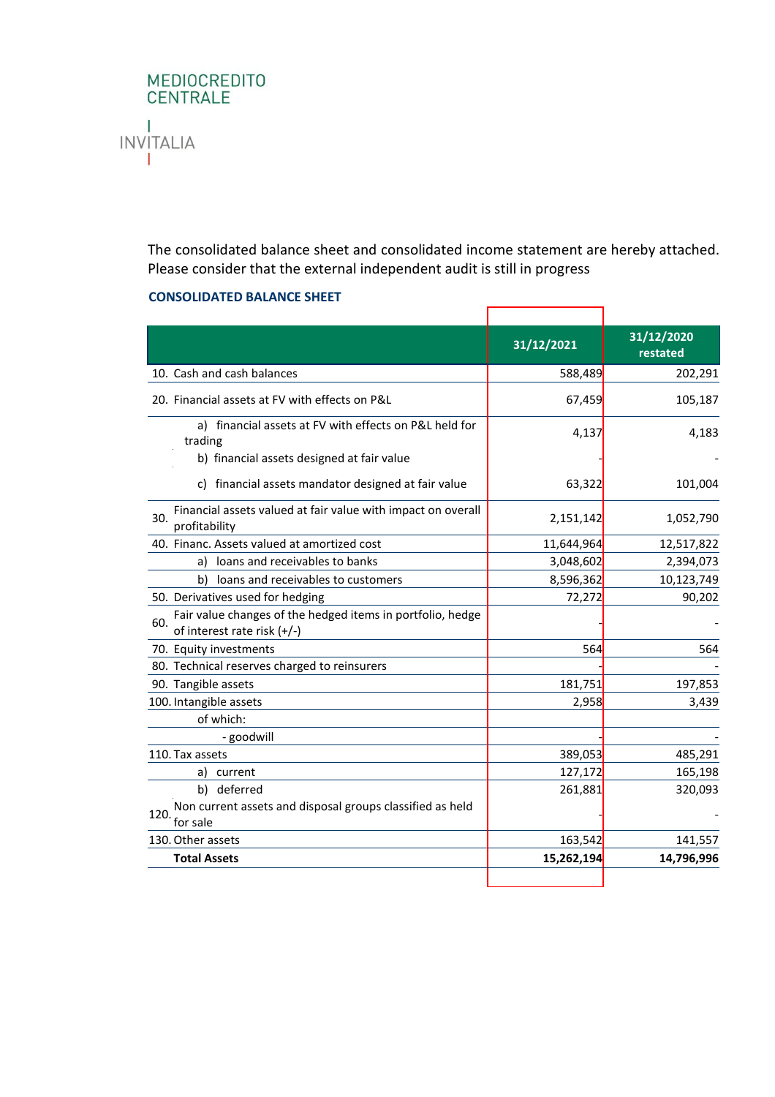

The consolidated balance sheet and consolidated income statement are hereby attached. Please consider that the external independent audit is still in progress

 $\overline{\phantom{a}}$ 

 $\overline{\phantom{0}}$ 

#### **CONSOLIDATED BALANCE SHEET**

|                                                                                                  | 31/12/2021 | 31/12/2020<br>restated |
|--------------------------------------------------------------------------------------------------|------------|------------------------|
| 10. Cash and cash balances                                                                       | 588,489    | 202,291                |
| 20. Financial assets at FV with effects on P&L                                                   | 67,459     | 105,187                |
| a) financial assets at FV with effects on P&L held for<br>trading                                | 4,137      | 4,183                  |
| b) financial assets designed at fair value                                                       |            |                        |
| c) financial assets mandator designed at fair value                                              | 63,322     | 101,004                |
| Financial assets valued at fair value with impact on overall<br>30.<br>profitability             | 2,151,142  | 1,052,790              |
| 40. Financ. Assets valued at amortized cost                                                      | 11,644,964 | 12,517,822             |
| a) loans and receivables to banks                                                                | 3,048,602  | 2,394,073              |
| b)<br>loans and receivables to customers                                                         | 8,596,362  | 10,123,749             |
| 50. Derivatives used for hedging                                                                 | 72,272     | 90,202                 |
| Fair value changes of the hedged items in portfolio, hedge<br>60.<br>of interest rate risk (+/-) |            |                        |
| 70. Equity investments                                                                           | 564        | 564                    |
| 80. Technical reserves charged to reinsurers                                                     |            |                        |
| 90. Tangible assets                                                                              | 181,751    | 197,853                |
| 100. Intangible assets                                                                           | 2,958      | 3,439                  |
| of which:                                                                                        |            |                        |
| - goodwill                                                                                       |            |                        |
| 110. Tax assets                                                                                  | 389,053    | 485,291                |
| a) current                                                                                       | 127,172    | 165,198                |
| b) deferred                                                                                      | 261,881    | 320,093                |
| Non current assets and disposal groups classified as held<br>120.<br>for sale                    |            |                        |
| 130. Other assets                                                                                | 163,542    | 141,557                |
| <b>Total Assets</b>                                                                              | 15,262,194 | 14,796,996             |
|                                                                                                  |            |                        |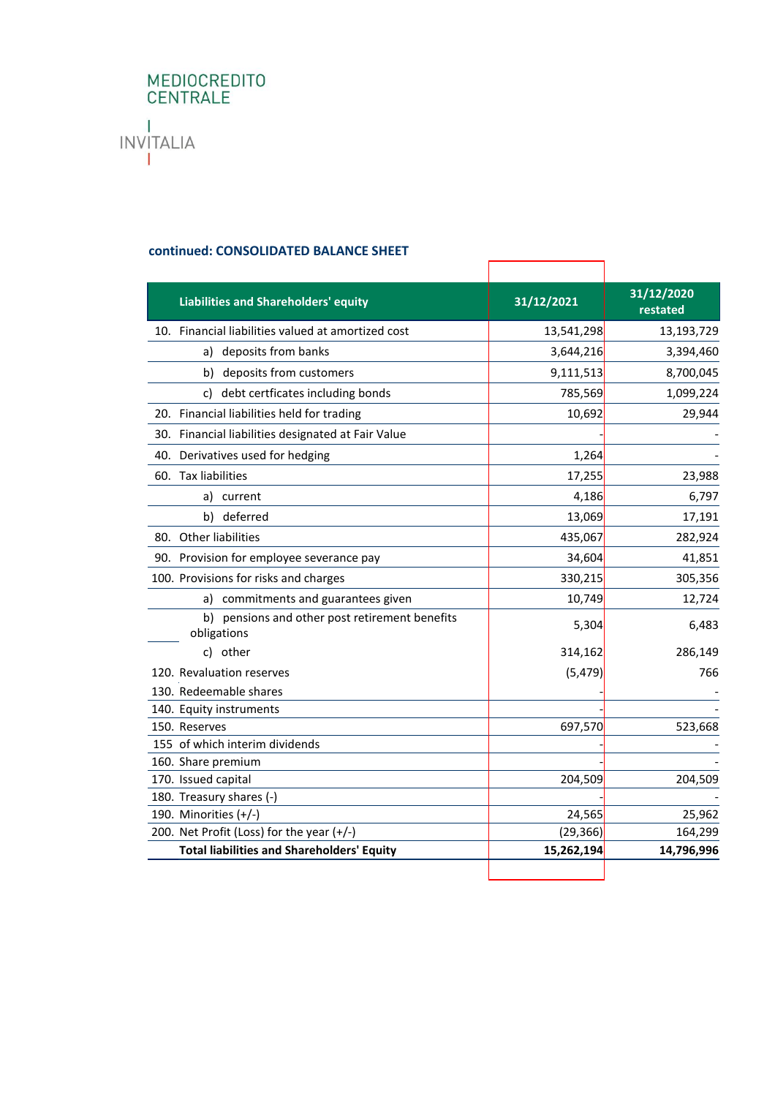# MEDIOCREDITO<br>CENTRALE  $\mathbf{I}$ **INVITALIA**  $\mathbf{L}$

# **continued: CONSOLIDATED BALANCE SHEET**

| <b>Liabilities and Shareholders' equity</b>                   | 31/12/2021 | 31/12/2020<br>restated |
|---------------------------------------------------------------|------------|------------------------|
| 10. Financial liabilities valued at amortized cost            | 13,541,298 | 13,193,729             |
| deposits from banks<br>a)                                     | 3,644,216  | 3,394,460              |
| b)<br>deposits from customers                                 | 9,111,513  | 8,700,045              |
| debt certficates including bonds<br>C)                        | 785,569    | 1,099,224              |
| 20. Financial liabilities held for trading                    | 10,692     | 29,944                 |
| 30. Financial liabilities designated at Fair Value            |            |                        |
| 40. Derivatives used for hedging                              | 1,264      |                        |
| 60. Tax liabilities                                           | 17,255     | 23,988                 |
| a)<br>current                                                 | 4,186      | 6,797                  |
| deferred<br>b)                                                | 13,069     | 17,191                 |
| 80. Other liabilities                                         | 435,067    | 282,924                |
| 90. Provision for employee severance pay                      | 34,604     | 41,851                 |
| 100. Provisions for risks and charges                         | 330,215    | 305,356                |
| a) commitments and guarantees given                           | 10,749     | 12,724                 |
| b) pensions and other post retirement benefits<br>obligations | 5,304      | 6,483                  |
| c) other                                                      | 314,162    | 286,149                |
| 120. Revaluation reserves                                     | (5, 479)   | 766                    |
| 130. Redeemable shares                                        |            |                        |
| 140. Equity instruments                                       |            |                        |
| 150. Reserves                                                 | 697,570    | 523,668                |
| 155 of which interim dividends                                |            |                        |
| 160. Share premium                                            |            |                        |
| 170. Issued capital                                           | 204,509    | 204,509                |
| 180. Treasury shares (-)                                      |            |                        |
| 190. Minorities $(+/-)$                                       | 24,565     | 25,962                 |
| 200. Net Profit (Loss) for the year (+/-)                     | (29, 366)  | 164,299                |
| <b>Total liabilities and Shareholders' Equity</b>             | 15,262,194 | 14,796,996             |
|                                                               |            |                        |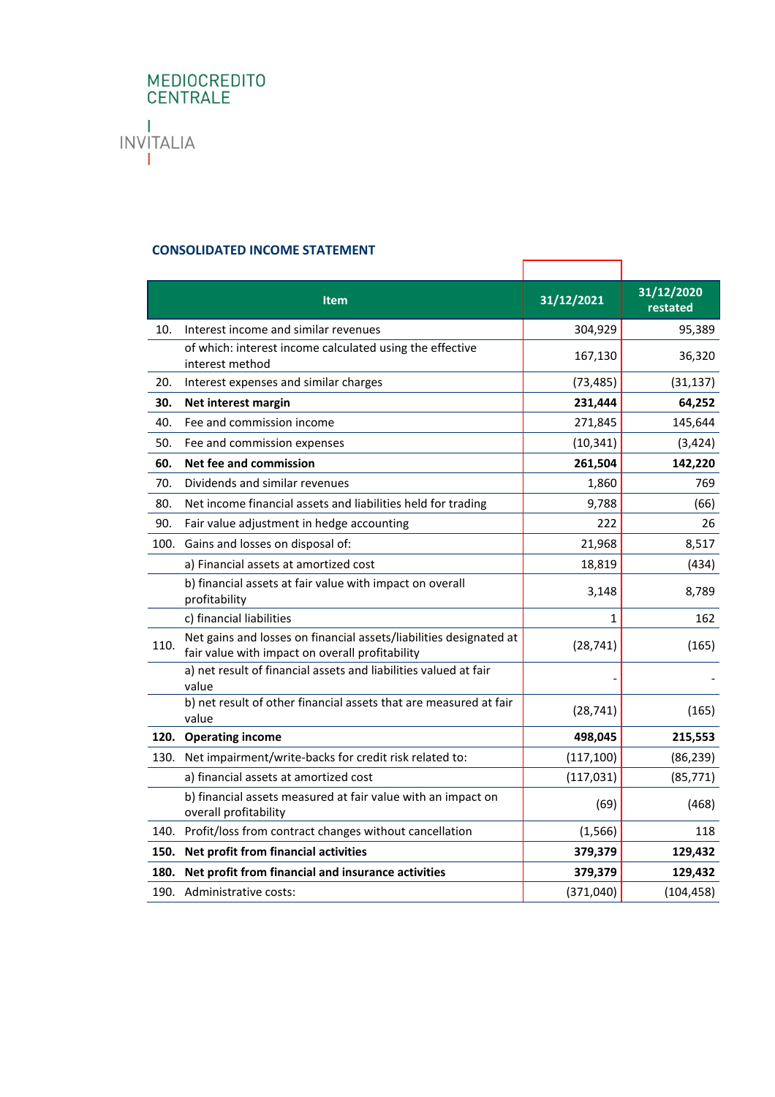# MEDIOCREDITO<br>CENTRALE  $\mathbf{I}$ **INVITALIA**  $\mathbf{L}$

# **CONSOLIDATED INCOME STATEMENT**

|      | <b>Item</b>                                                                                                           | 31/12/2021 | 31/12/2020<br>restated |
|------|-----------------------------------------------------------------------------------------------------------------------|------------|------------------------|
| 10.  | Interest income and similar revenues                                                                                  | 304,929    | 95,389                 |
|      | of which: interest income calculated using the effective<br>interest method                                           | 167,130    | 36,320                 |
| 20.  | Interest expenses and similar charges                                                                                 | (73, 485)  | (31, 137)              |
| 30.  | Net interest margin                                                                                                   | 231,444    | 64,252                 |
| 40.  | Fee and commission income                                                                                             | 271,845    | 145,644                |
| 50.  | Fee and commission expenses                                                                                           | (10, 341)  | (3, 424)               |
| 60.  | Net fee and commission                                                                                                | 261,504    | 142,220                |
| 70.  | Dividends and similar revenues                                                                                        | 1,860      | 769                    |
| 80.  | Net income financial assets and liabilities held for trading                                                          | 9,788      | (66)                   |
| 90.  | Fair value adjustment in hedge accounting                                                                             | 222        | 26                     |
| 100. | Gains and losses on disposal of:                                                                                      | 21,968     | 8,517                  |
|      | a) Financial assets at amortized cost                                                                                 | 18,819     | (434)                  |
|      | b) financial assets at fair value with impact on overall<br>profitability                                             | 3,148      | 8,789                  |
|      | c) financial liabilities                                                                                              | 1          | 162                    |
| 110. | Net gains and losses on financial assets/liabilities designated at<br>fair value with impact on overall profitability | (28, 741)  | (165)                  |
|      | a) net result of financial assets and liabilities valued at fair<br>value                                             |            |                        |
|      | b) net result of other financial assets that are measured at fair<br>value                                            | (28, 741)  | (165)                  |
|      | 120. Operating income                                                                                                 | 498,045    | 215,553                |
| 130. | Net impairment/write-backs for credit risk related to:                                                                | (117, 100) | (86, 239)              |
|      | a) financial assets at amortized cost                                                                                 | (117, 031) | (85, 771)              |
|      | b) financial assets measured at fair value with an impact on<br>overall profitability                                 | (69)       | (468)                  |
| 140. | Profit/loss from contract changes without cancellation                                                                | (1, 566)   | 118                    |
| 150. | Net profit from financial activities                                                                                  | 379,379    | 129,432                |
| 180. | Net profit from financial and insurance activities                                                                    | 379,379    | 129,432                |
|      | 190. Administrative costs:                                                                                            | (371,040)  | (104, 458)             |